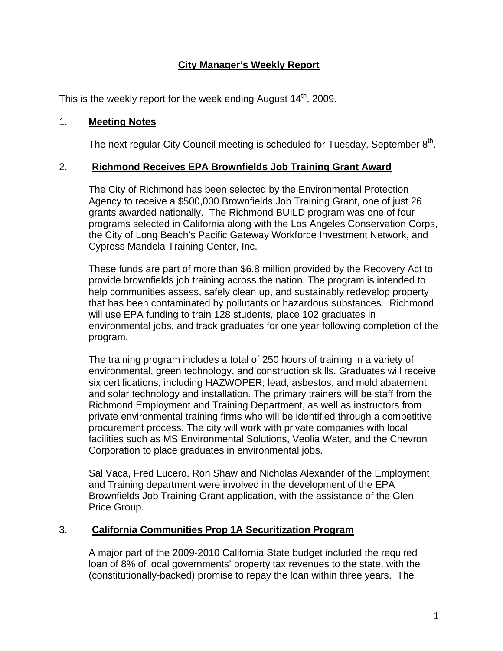# **City Manager's Weekly Report**

This is the weekly report for the week ending August  $14<sup>th</sup>$ , 2009.

#### 1. **Meeting Notes**

The next regular City Council meeting is scheduled for Tuesday, September  $8<sup>th</sup>$ .

### 2. **Richmond Receives EPA Brownfields Job Training Grant Award**

The City of Richmond has been selected by the Environmental Protection Agency to receive a \$500,000 Brownfields Job Training Grant, one of just 26 grants awarded nationally. The Richmond BUILD program was one of four programs selected in California along with the Los Angeles Conservation Corps, the City of Long Beach's Pacific Gateway Workforce Investment Network, and Cypress Mandela Training Center, Inc.

These funds are part of more than \$6.8 million provided by the Recovery Act to provide brownfields job training across the nation. The program is intended to help communities assess, safely clean up, and sustainably redevelop property that has been contaminated by pollutants or hazardous substances. Richmond will use EPA funding to train 128 students, place 102 graduates in environmental jobs, and track graduates for one year following completion of the program.

The training program includes a total of 250 hours of training in a variety of environmental, green technology, and construction skills. Graduates will receive six certifications, including HAZWOPER; lead, asbestos, and mold abatement; and solar technology and installation. The primary trainers will be staff from the Richmond Employment and Training Department, as well as instructors from private environmental training firms who will be identified through a competitive procurement process. The city will work with private companies with local facilities such as MS Environmental Solutions, Veolia Water, and the Chevron Corporation to place graduates in environmental jobs.

Sal Vaca, Fred Lucero, Ron Shaw and Nicholas Alexander of the Employment and Training department were involved in the development of the EPA Brownfields Job Training Grant application, with the assistance of the Glen Price Group.

#### 3. **California Communities Prop 1A Securitization Program**

A major part of the 2009-2010 California State budget included the required loan of 8% of local governments' property tax revenues to the state, with the (constitutionally-backed) promise to repay the loan within three years. The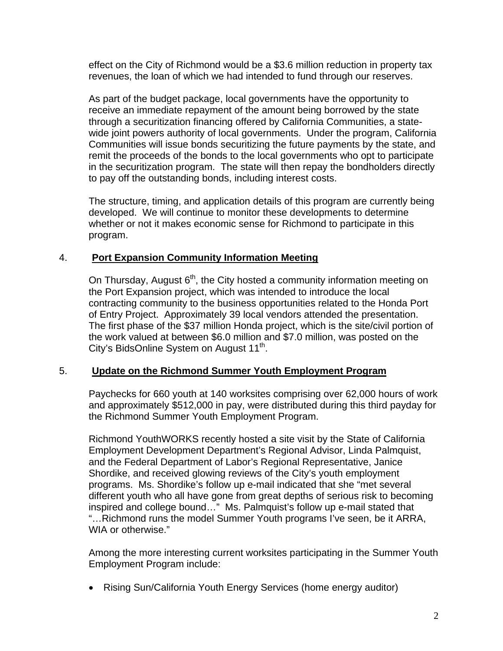effect on the City of Richmond would be a \$3.6 million reduction in property tax revenues, the loan of which we had intended to fund through our reserves.

As part of the budget package, local governments have the opportunity to receive an immediate repayment of the amount being borrowed by the state through a securitization financing offered by California Communities, a statewide joint powers authority of local governments. Under the program, California Communities will issue bonds securitizing the future payments by the state, and remit the proceeds of the bonds to the local governments who opt to participate in the securitization program. The state will then repay the bondholders directly to pay off the outstanding bonds, including interest costs.

The structure, timing, and application details of this program are currently being developed. We will continue to monitor these developments to determine whether or not it makes economic sense for Richmond to participate in this program.

#### 4. **Port Expansion Community Information Meeting**

On Thursday, August  $6<sup>th</sup>$ , the City hosted a community information meeting on the Port Expansion project, which was intended to introduce the local contracting community to the business opportunities related to the Honda Port of Entry Project. Approximately 39 local vendors attended the presentation. The first phase of the \$37 million Honda project, which is the site/civil portion of the work valued at between \$6.0 million and \$7.0 million, was posted on the City's BidsOnline System on August 11<sup>th</sup>.

#### 5. **Update on the Richmond Summer Youth Employment Program**

Paychecks for 660 youth at 140 worksites comprising over 62,000 hours of work and approximately \$512,000 in pay, were distributed during this third payday for the Richmond Summer Youth Employment Program.

Richmond YouthWORKS recently hosted a site visit by the State of California Employment Development Department's Regional Advisor, Linda Palmquist, and the Federal Department of Labor's Regional Representative, Janice Shordike, and received glowing reviews of the City's youth employment programs. Ms. Shordike's follow up e-mail indicated that she "met several different youth who all have gone from great depths of serious risk to becoming inspired and college bound…" Ms. Palmquist's follow up e-mail stated that "…Richmond runs the model Summer Youth programs I've seen, be it ARRA, WIA or otherwise."

Among the more interesting current worksites participating in the Summer Youth Employment Program include:

Rising Sun/California Youth Energy Services (home energy auditor)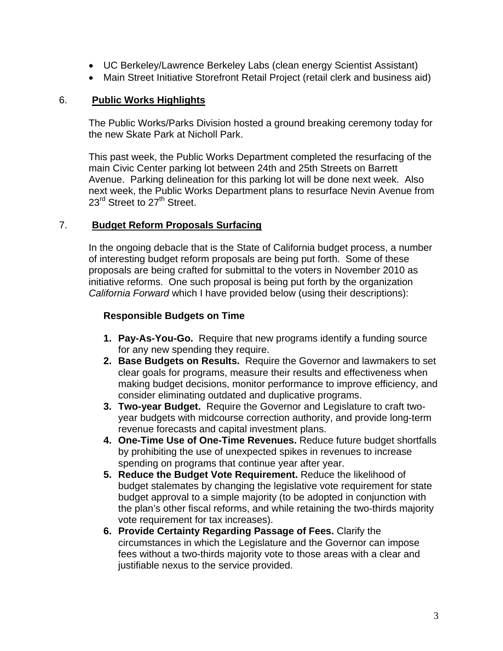- UC Berkeley/Lawrence Berkeley Labs (clean energy Scientist Assistant)
- Main Street Initiative Storefront Retail Project (retail clerk and business aid)

### 6. **Public Works Highlights**

The Public Works/Parks Division hosted a ground breaking ceremony today for the new Skate Park at Nicholl Park.

This past week, the Public Works Department completed the resurfacing of the main Civic Center parking lot between 24th and 25th Streets on Barrett Avenue. Parking delineation for this parking lot will be done next week. Also next week, the Public Works Department plans to resurface Nevin Avenue from 23<sup>rd</sup> Street to 27<sup>th</sup> Street.

### 7. **Budget Reform Proposals Surfacing**

In the ongoing debacle that is the State of California budget process, a number of interesting budget reform proposals are being put forth. Some of these proposals are being crafted for submittal to the voters in November 2010 as initiative reforms. One such proposal is being put forth by the organization *California Forward* which I have provided below (using their descriptions):

### **Responsible Budgets on Time**

- **1. Pay-As-You-Go.** Require that new programs identify a funding source for any new spending they require.
- **2. Base Budgets on Results.** Require the Governor and lawmakers to set clear goals for programs, measure their results and effectiveness when making budget decisions, monitor performance to improve efficiency, and consider eliminating outdated and duplicative programs.
- **3. Two-year Budget.** Require the Governor and Legislature to craft twoyear budgets with midcourse correction authority, and provide long-term revenue forecasts and capital investment plans.
- **4. One-Time Use of One-Time Revenues.** Reduce future budget shortfalls by prohibiting the use of unexpected spikes in revenues to increase spending on programs that continue year after year.
- **5. Reduce the Budget Vote Requirement.** Reduce the likelihood of budget stalemates by changing the legislative vote requirement for state budget approval to a simple majority (to be adopted in conjunction with the plan's other fiscal reforms, and while retaining the two-thirds majority vote requirement for tax increases).
- **6. Provide Certainty Regarding Passage of Fees.** Clarify the circumstances in which the Legislature and the Governor can impose fees without a two-thirds majority vote to those areas with a clear and justifiable nexus to the service provided.